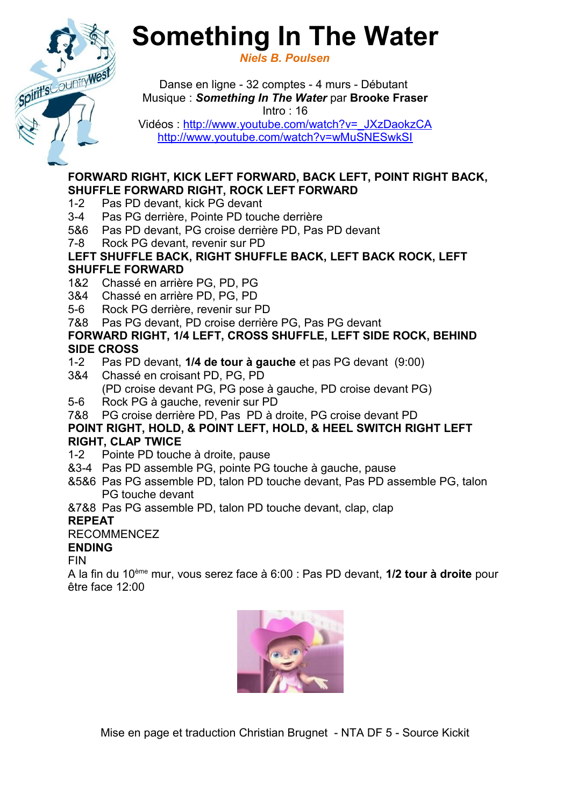# **Something In The Water**

*Niels B. Poulsen*

Danse en ligne - 32 comptes - 4 murs - Débutant Musique : *Something In The Water* par **Brooke Fraser** Intro : 16 Vidéos : [http://www.youtube.com/watch?v=\\_JXzDaokzCA](http://www.youtube.com/watch?v=_JXzDaokzCA)

<http://www.youtube.com/watch?v=wMuSNESwkSI>

#### **FORWARD RIGHT, KICK LEFT FORWARD, BACK LEFT, POINT RIGHT BACK, SHUFFLE FORWARD RIGHT, ROCK LEFT FORWARD**

- 1-2 Pas PD devant, kick PG devant
- 3-4 Pas PG derrière, Pointe PD touche derrière
- 5&6 Pas PD devant, PG croise derrière PD, Pas PD devant
- 7-8 Rock PG devant, revenir sur PD

### **LEFT SHUFFLE BACK, RIGHT SHUFFLE BACK, LEFT BACK ROCK, LEFT SHUFFLE FORWARD**

- 1&2 Chassé en arrière PG, PD, PG
- 3&4 Chassé en arrière PD, PG, PD
- 5-6 Rock PG derrière, revenir sur PD
- 7&8 Pas PG devant, PD croise derrière PG, Pas PG devant

## **FORWARD RIGHT, 1/4 LEFT, CROSS SHUFFLE, LEFT SIDE ROCK, BEHIND SIDE CROSS**

- 1-2 Pas PD devant, **1/4 de tour à gauche** et pas PG devant (9:00)
- 3&4 Chassé en croisant PD, PG, PD (PD croise devant PG, PG pose à gauche, PD croise devant PG)
- 5-6 Rock PG à gauche, revenir sur PD
- 7&8 PG croise derrière PD, Pas PD à droite, PG croise devant PD

# **POINT RIGHT, HOLD, & POINT LEFT, HOLD, & HEEL SWITCH RIGHT LEFT RIGHT, CLAP TWICE**

- 1-2 Pointe PD touche à droite, pause
- &3-4 Pas PD assemble PG, pointe PG touche à gauche, pause
- &5&6 Pas PG assemble PD, talon PD touche devant, Pas PD assemble PG, talon PG touche devant

&7&8 Pas PG assemble PD, talon PD touche devant, clap, clap

# **REPEAT**

# RECOMMENCEZ

# **ENDING**

FIN

Spirit's Country We

A la fin du 10ème mur, vous serez face à 6:00 : Pas PD devant, **1/2 tour à droite** pour être face 12:00



Mise en page et traduction Christian Brugnet - NTA DF 5 - Source Kickit